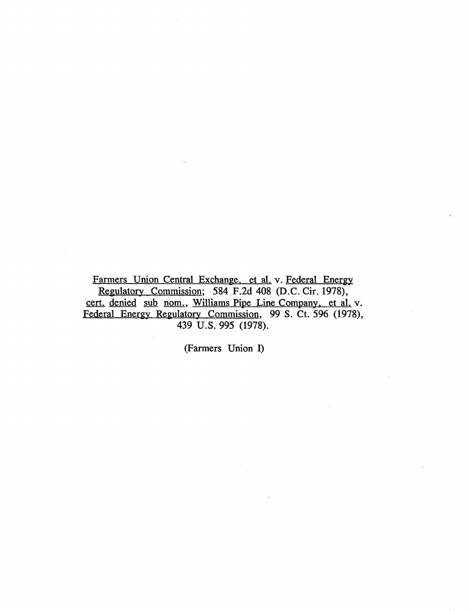Farmers Union Central Exchange. et al. v. Federal Energy Regulatory Commission; 584 F.2d 408 (D.C. Cir. 1978), cert. denied sub nom., Williams Pipe Line Company. et al. v. Federal Energy Regulatory Commission, 99 S. Ct. 596 (1978), 439 U.S. 995 (1978).

(Farmers Union I)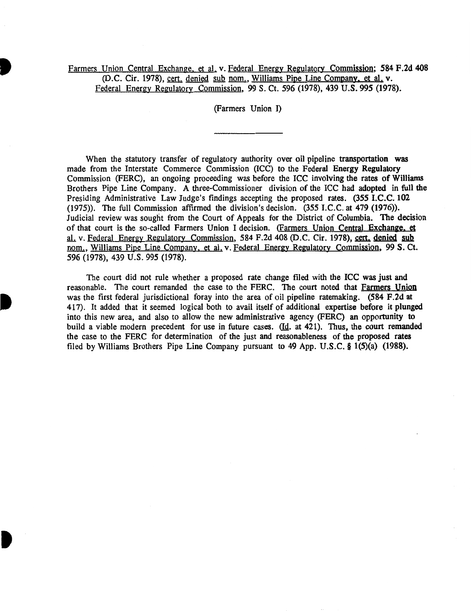# Farmers Union Central Exchange. et al. v. Federal Energy Regulatory Commission; 584 F.2d 408 (D.C. Cir. 1978), cert. denied sub nom., Williams Pipe Line Company. et al. v. Federal Energy Regulatory Commission, 99 S. Ct. 596 (1978), 439 U.S. 995 (1978).

(Farmers Union I)

When the statutory transfer of regulatory authority over oil pipeline transportation was made from the Interstate Commerce Commission (ICC) to the Federal Energy Regulatory Commission (FERC), an ongoing proceeding was before the ICC involving the rates of Williams Brothers Pipe Line Company. A three-Commissioner division of the ICC had adopted in full the Presiding Administrative Law Judge's findings accepting the proposed rates. (355 I.C.C. 102 (1975)). The full Commission affirmed the division's decision. (355 I.C.C. at 479 (1976)). Judicial review was sought from the Court of Appeals for the District of Columbia. The decision of that court is the so-called Farmers Union I decision. (Farmers Union Central Exchange, et al. v. Federal Energy Regulatory Commission, 584 F.2d 408 (D.C. Cir. 1978), cert, denied sub nom., Williams Pipe Line Company. et al. v. Federal Energy Regulatory Commission, 99 S. Ct. 596 (1978), 439 u.s. 995 (1978).

The court did not rule whether a proposed rate change filed with the ICC was just and reasonable. The court remanded the case to the PERC. The court noted that Farmers Union was the first federal jurisdictional foray into the area of oil pipeline ratemaking. (584 F.2d at 417). It added that it seemed logical both to avail itself of additional expertise before it plunged into this new area, and also to allow the new administrative agency (PERC) an opportunity to build a viable modern precedent for use in future cases. (Id. at 421). Thus, the court remanded the case to the PERC for determination of the just and reasonableness of the proposed rates filed by Williams Brothers Pipe Line Company pursuant to 49 App. U.S.C. § 1(5)(a) (1988).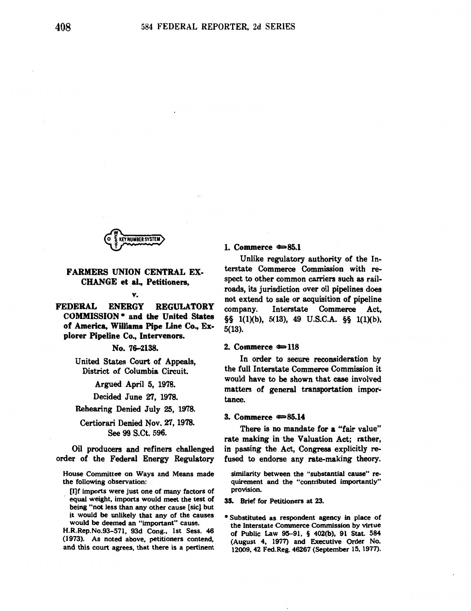

# FARMERS UNION CENTRAL EX-CHANGE et al., Petitioners,

#### v.

FEDERAL ENERGY REGULATORY COMMISSION • and the United States of America, Williams Pipe Line Co., Explorer Pipeline Co., Intervenors.

## No. 76-2138.

United States Court of Appeals, District of Columbia Circuit.

Argued April 5, 1978.

Decided June 27, 1978.

Rehearing Denied July 25, 1978.

Certiorari Denied Nov. 27, 1978. See 99 S.Ct. 596.

Oil producers and refiners challenged order of the Federal Energy Regulatory

House Committee on Ways and Means made the following observation:

[l]f imports were just one of many factors of equal weight, imports would meet the test of being "not less than any other cause [sic] but it would be unlikely that any of the causes would be deemed an "important" cause.

H.R.Rep.No.93-57l, 93d Cong., 1st Sess. 46 (1973). As noted above, petitioners contend, and this court agrees, that there is a pertinent

## 1. Commerce  $\approx 85.1$

Unlike regulatory authority of the Interstate Commerce Commission with respect to other common carriers such as railroads, its jurisdiction over oil pipelines does not extend to sale or acquisition of pipeline company. Interstate Commerce Act, §§ 1(1)(b), 5(13), 49 U.S.C.A. §§ 1(l)(b), 5(13).

#### 2. Commerce  $\approx 118$

In order to secure reconsideration by the full Interstate Commerce Commission it would have to be shown that case involved matters of general transportation importance.

#### 3. Commerce  $\approx 85.14$

There is no mandate for a "fair value" rate making in the Valuation Act; rather, in passing the Act, Congress explicitly refused to endorse any rate-making theory.

similarity between the "substantial cause" requirement and the "contributed importantly" provision.

35. Brief for Petitioners at 23.

\* Substituted as respondent agency in place of the Interstate Commerce Commission by virtue of Public Law 95-91, § 402(b), 91 Stat. 584 (August 4, 1977) and Executive Order No. 12009, 42 Fed.Reg. 46267 (September 15, 1977).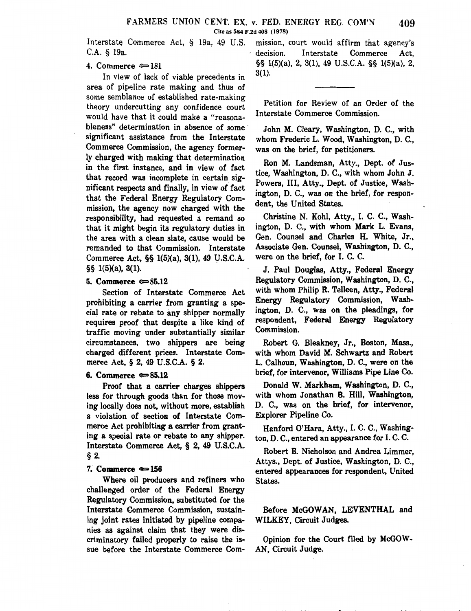Interstate Commerce Act, § 19a, 49 U.S. C.A. § 19a.

# 4. Commerce  $\approx 181$

In view of lack of viable precedents in area of pipeline rate making and thus of some semblance of established rate-making theory undercutting any confidence court would have that it could make a "reasonableness" determination in absence of some significant assistance from the Interstate Commerce Commission, the agency formerly charged with making that determination in the first instance, and in view of fact that record was incomplete in certain significant respects and finally, in view of fact that the Federal Energy Regulatory Commission, the agency now charged with the responsibility, had requested a remand so that it might begin its regulatory duties in the area with a clean slate, cause would be remanded to that Commission. Interstate Commerce Act, §§ 1(5)(a), 3(1), 49 U.S.C.A. §§ 1(5)(a), 3(1).

### 5. Commerce  $\approx 85.12$

Section of Interstate Commerce Act prohibiting a carrier from granting a special rate or rebate to any shipper normally requires proof that despite a like kind of traffic moving under substantially similar circumstances, two shippers are being charged different prices. Interstate Commerce Act,§ 2, 49 U.S.C.A. § 2.

#### 6. Commerce  $\approx 85.12$

Proof that a carrier charges shippers less for through goods than for those moving locally does not, without more, establish a violation of section of Interstate Commerce Act prohibiting a carrier from granting a special rate or rebate to any shipper. Interstate Commerce Act, § 2, 49 U.S.C.A. § 2.

### 7. Commerce  $\approx 156$

Where oil producers and refiners who challenged order of the Federal Energy Regulatory Commission, substituted for the Interstate Commerce Commission, sustaining joint rates initiated by pipeline companies as against claim that they were discriminatory failed properly to raise the issue before the Interstate Commerce Com-

mission, court would affirm that agency's decision. Interstate Commerce Act, §§ 1(5)(a), 2, 3(1), 49 U.S.C.A. §§ 1(5)(a), 2, 3(1).

Petition for Review of an Order of the Interstate Commerce Commission.

John M. Cleary, Washington, D. C., with whom Frederic L. Wood, Washington, D. C., was on the brief, for petitioners.

Ron M. Landsman, Atty., Dept. of Justice, Washington, D. C., with whom John J. Powers, III, Atty., Dept. of Justice, Washington, D. C., was on the brief, for respondent, the United States.

Christine N. Kohl, Atty., I. C. C., Washington, D. C., with whom Mark L. Evans, Gen. Counsel and Charles H. White, Jr., Associate Gen. Counsel, Washington, D. C., were on the brief, for I. C. C.

J. Paul Douglas, Atty., Federal Energy Regulatory Commission, Washington, D. C., with whom Philip R. Telleen, Atty., Federal Energy Regulatory Commission, Washington, D. C., was on the pleadings, for respondent, Federal Energy Regulatory Commission.

Robert G. Bleakney, Jr., Boston, Mass., with whom David M. Schwartz and Robert L. Calhoun, Washington, D. C., were on the brief, for intervenor, Williams Pipe Line Co.

Donald W. Markham, Washington, D. C., with whom Jonathan B. Hill, Washington, D. C., was on the brief, for intervenor, Explorer Pipeline Co.

Hanford O'Hara, Atty., I. C. C., Washington, D. C., entered an appearance for I. C. C.

Robert B. Nicholson and Andrea Limmer, Attys., Dept. of Justice, Washington, D. C., entered appearances for respondent, United States.

# Before McGOWAN, LEVENTHAL and WILKEY, Circuit Judges.

Opinion for the Court filed by McGOW-AN, Circuit Judge.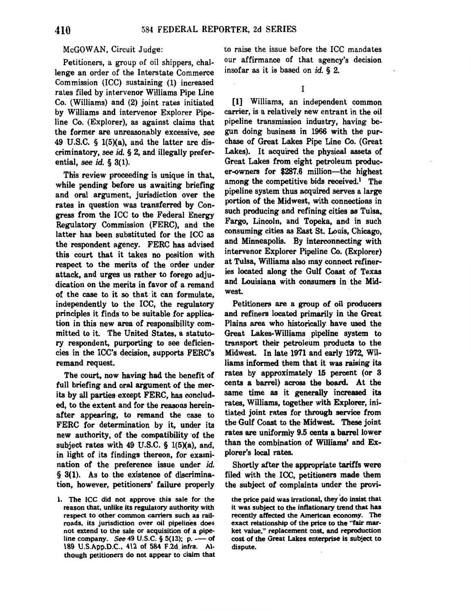#### McGOWAN, Circuit Judge:

Petitioners, a group of oil shippers, challenge an order of the Interstate Commerce Commission (ICC) sustaining (1) increased rates filed by intervenor Williams Pipe Line Co. (Williams) and (2) joint rates initiated by Williams and intervenor Explorer Pipeline Co. (Explorer}, as against claims that the former are unreasonably excessive, *see*  49 U.S.C.  $\S$  1(5)(a), and the latter are discriminatory, *see* id. § 2, and illegally preferential, *see* id. § 3(1).

This review proceeding is unique in that, while pending before us awaiting briefing and oral argument, jurisdiction over the rates in question was transferred by Congress from the ICC to the Federal Energy Regulatory Commission (FERC), and the latter has been substituted for the ICC as the respondent agency. FERC has advised this court that it takes no position with respect to the merits of the order under attack, and urges us rather to forego adjudication on the merits in favor of a remand of the case to it so that it can formulate, independently to the ICC, the regulatory principles it finds to be suitable for application in this new area of responsibility committed to it. The United States, a statutory respondent, purporting to see deficiencies in the ICC's decision, supports FERC's remand request.

The court, now having had the benefit of full briefing and oral argument of the merits by all parties except FERC, has concluded, to the extent and for the reasons hereinafter appearing, to remand the case to FERC for determination by it, under its new authority, of the compatibility of the subject rates with 49 U.S.C.  $\S$  1(5)(a), and, in light of its findings thereon, for examination of the preference issue under *id*. § 3(1). As to the existence of discrimination, however, petitioners' failure properly to raise the issue before the ICC mandates our affirmance of that agency's decision insofar as it is based on id. § 2.

I

[1] Williams, an independent common carrier, is a relatively new entrant in the oil pipeline transmission industry, having be~ gun doing business in 1966 with the purchase of Great Lakes Pipe Line Co. (Great Lakes). It acquired the physical assets of Great Lakes from eight petroleum producer-owners for \$287.6 million-the highest among the competitive bids received.<sup>1</sup> The pipeline system thus acquired serves a large portion of the Midwest, with connections in such producing and refining cities as Tulsa, Fargo, Lincoln, and Topeka, and in such consuming cities as East St. Louis, Chicago, and Minneapolis. By interconnecting with intervenor Explorer Pipeline Co. (Explorer) at Tulsa, Williams also may connect refineries located along the Gulf Coast of Texas and Louisiana with consumers in the Midwest.

Petitioners are a group of oil producers and refiners located primarily in the Great Plains area who historically have used the Great Lakes-Williams pipeline system to transport their petroleum products to the Midwest. In late 1971 and early 1972, Williams informed them that it was raising its rates by approximately 15 percent (or 3 cents a barrel) across the board. At the same time as it generally increased its rates, Williams, together with Explorer, initiated joint rates for through service from the Gulf Coast to the Midwest. These joint rates are uniformly 9.5 cents a barrel lower than the combination of Williams' and Explorer's local rates.

Shortly after the appropriate tariffs were filed with the ICC, petitioners made them the subject of complaints under the provi-

the price paid was irrational, they do insist that it was subject to the inflationary trend that has recently affected the American economy. The exact relationship of the price to the "fair market value," replacement cost, and reproduction cost of the Great Lakes enterprise is subject to dispute.

I. The ICC did not approve this sale for the reason that, unlike its regulatory authority with respect to other common carriers such as railroads, its jurisdiction over oil pipelines does not extend to the sale or acquisition of a pipeline company. See 49 U.S.C. § 5(13); p. - of \89 U.S.App.D.C., 4\2 of 584 F.2d. infra. Although petitioners do not appear to claim that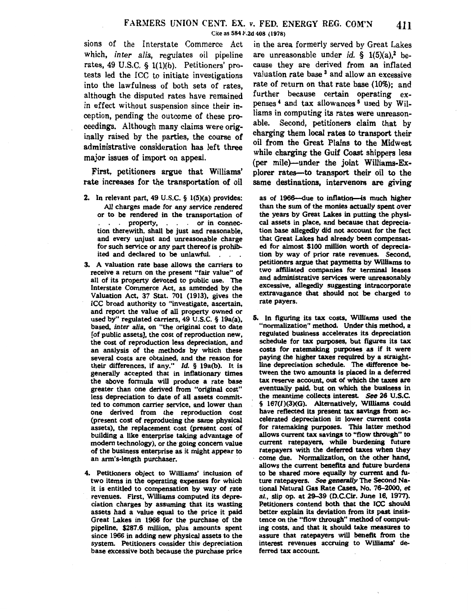which, *inter alia*, regulates oil pipeline are unreasonable under *id*. § 1(5)(a),<sup>2</sup> berates, 49 U.S.C.  $\S$  1(1)(b). Petitioners' pro- cause they are derived from an inflated tests led the ICC to initiate investigations valuation rate base<sup>3</sup> and allow an excessive tests led the ICC to initiate investigations valuation rate base<sup>3</sup> and allow an excessive into the lawfulness of both sets of rates. **rate of return on that rate base** (10%); and into the lawfulness of both sets of rates, rate of return on that rate base (10%); and<br>although the disputed rates have remained further because certain operating exalthough the disputed rates have remained in effect without suspension since their in-<br>cention pending the outcome of these rg.  $\frac{1}{2}$  liams in computing its rates were unreasonception, pending the outcome of these  $pro-$  Ilams in computing its rates were unreason-<br>ceedings. Although many claims were originally able. Second, petitioners claim that by ceedings. Although many claims were orig-<br>inelly using by the perties the course of charging them local rates to transport their inally raised by the parties, the course of charging them local rates to transport their administrative consideration has left three on from the Great Plains to the Midwest major issues of import on appeal.

First, petitioners argue that Williams' rate increases for the transportation of oil

- 2. In relevant part, 49 U.S.C. § 1(5)(a) provides: All charges made for any service rendered or to be rendered in the transportation of property, or in connection therewith, shall be just and reasonable, and every unjust and unreasonable charge for such service or any part thereof is prohibited and declared to be unlawful.
- 3. A valuation rate base allows the carriers to receive a return on the present "fair value" of all of its property devoted to public use. The Interstate Commerce Act, as amended by the Valuation Act, 37 Stat. 701 (1913), gives the ICC broad authority to "investigate, ascertain, and report the value of all property owned or used by" regulated carriers, 49 U.S.C. § 19a(a), based, inter alia, on "the original cost to date [of public assets], the cost of reproduction new, the cost of reproduction less depreciation, and an analysis of the methods by which these several costs are obtained, and the reason for their differences, if any." Id. § 19a(b). It is generally accepted that in inflationary times the above fonnula will produce a rate base greater than one derived from "original cost" less depreciation to date of all assets committed to common carrier service, and lower than one derived from the reproduction cost (present cost of reproducing the same physical assets), the replacement cost (present cost of building a like enterprise taking advantage of modem technology), or the going concern value of the business enterprise as it might appear to an arm's-length purchaser.
- 4. Petitioners object to Williams' inclusion of two items in the operating expenses for which it is entitled to compensation by way of rate revenues. First, Williams computed its depreciation charges by assuming that its wasting assets had a value equal to the price it paid Great Lakes in 1966 for the purchase of the pipeline, \$287.6 million, plus amounts spent since 1966 in adding new physical assets to the system. Petitioners consider this depreciation base excessive both because the purchase price

sions of the Interstate Commerce Act in the area formerly served by Great Lakes (per mile)-under the joint Williams-Ex plorer rates-to transport their oil to the same destinations, intervenors are giving

> as of 1966—due to inflation—is much higher than the sum of the monies actually spent over the years by Great Lakes in putting the physical assets in place, and because that depreciation base allegedly did not account for the fact that Great Lakes had already been compensated for almost \$100 million worth of depreciation by way of prior rate revenues. Second, petitioners argue that payments by Williams to two affiliated companies for terminal leases and administrative services were unreasonably excessive, allegedly suggesting intracorporate extravagance that should not be charged to rate payers.

5. In figuring its tax costs, Williams used the "normalization" method. Under this method, a regulated business accelerates its depreciation schedule for tax purposes, but figures its tax costs for ratemaking purposes as if it were paying the higher taxes required by a straightline depreciation schedule. The difference between the two amounts is placed in a deferred tax reserve account, out of which the taxes are eventually paid, but on which the business in the meantime collects interest. See 26 U.S.C. § 167(1)(3)(G). Alternatively, Williams could have reflected its present tax savings from accelerated depreciation in lower current costs for ratemaking purposes. This latter method allows current tax savings to "flow through" to current ratepayers, while burdening future ratepayers with the deferred taxes when they come due. Normalization, on the other hand, allows the current benefits and future burdens to be shared more equally by current and future ratepayers. See generally The Second National Natural Gas Rate Cases, No. 76-2000, et al., slip op. at 29-39 (D.C.Cir. June 16, 1977). Petitioners contend both that the ICC should better explain its deviation from its past insistence on the "flow through" method of computing costs, and that it should take measures to assure that ratepayers will benefit from the interest revenues accruing to Williams' deferred tax account.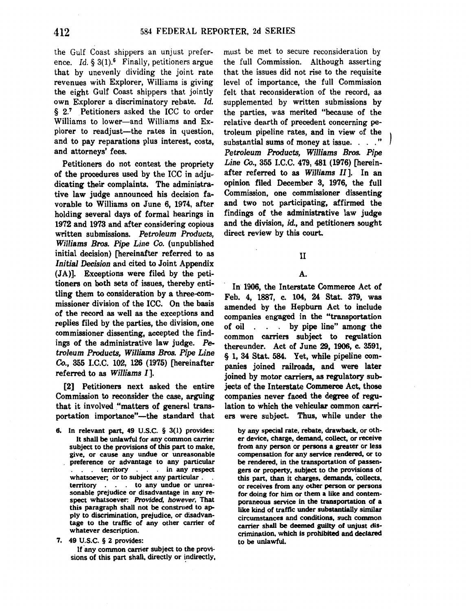the Gulf Coast shippers an unjust preference. *Id.* § 3(1).<sup>6</sup> Finally, petitioners argue that by unevenly dividing the joint rate revenues with Explorer, Williams is giving the eight Gulf Coast shippers that jointly own Explorer a discriminatory rebate. *Id.*  § 2.7 Petitioners asked the ICC to order Williams to lower-and Williams and Explorer to readjust-the rates in question, and to pay reparations plus interest, costs, and attorneys' fees.

Petitioners do not contest the propriety of the procedures used by the ICC in adjudicating their complaints. The administrative law judge announced his decision favorable to Williams on June 6, 1974, after holding several days of formal hearings in 1972 and 1973 and after considering copious written submissions. *Petroleum Products, Williams Bros. Pipe Line Co.* (unpublished initial decision) [hereinafter referred to as *Initial Decision* and cited to Joint Appendix (JA)]. Exceptions were filed by the petitioners on both sets of issues, thereby entitling them to consideration by a three-commissioner division of the ICC. On the basis of the record as well as the exceptions and replies filed by the parties, the division, one commissioner dissenting, accepted the findings of the administrative law judge. *Petroleum Products, Williams Bros. Pipe Line Co.,* 355 I.C.C. 102, 126 (1975) [hereinafter referred to as *Williams I].* 

[2] Petitioners next asked the entire Commission to reconsider the case, arguing that it involved "matters of general transportation importance"-the standard that

8. In relevant part, 49 U.S.C. § 3(1) provides: It shall be unlawful for any common carrier subject to the provisions of this part to make, give, or cause any undue or unreasonable preference or advantage to any particular . territory . . in any respect whatsoever; or to subject any particular . . territory . . to any undue or unreasonable prejudice or disadvantage in any respect whatsoever: Provided, however, That this paragraph shall not be construed to apply to discrimination, prejudice, or disadvantage to the traffic of any other carrier of whatever description.

7. 49 U.S.C. § 2 provides:

If any common carrier subject to the provisions of this part shall, directly or indirectly, must be met to secure reconsideration by the full Commission. Although asserting that the issues did not rise to the requisite level of importance, the full Commission felt that reconsideration of the record, as supplemented by written submissions by the parties, was merited "because of the relative dearth of precedent concerning petroleum pipeline rates, and in view of the substantial sums of money at issue. . . . " *Petroleum Products, Williams Bros. Pipe Line Co.,* 355 I.C.C. 479, 481 (1976) [hereinafter referred to as *Williams II].* In an opinion filed December 3, 1976, the full Commission, one commissioner dissenting and two not participating, affirmed the findings of the administrative law judge and the division, id., and petitioners sought direct review by this court.

#### II

### A.

In 1906, the Interstate Commerce Act of Feb. 4, 1887, c. 104, 24 Stat. 379, was amended by the Hepburn Act to include companies engaged in the "transportation of oil . . . by pipe line" among the common carriers subject to regulation thereunder. Act of June 29, 1906, c. 3591, § 1, 34 Stat. 584. Yet, while pipeline companies joined railroads, and were later joined by motor carriers, as regulatory subjects of the Interstate Commerce Act, those companies never faced the degree of regulation to which the vehicular common carriers were subject. Thus, while under the

by any special rate, rebate, drawback, or other device, charge, demand, collect, or receive from any person or persons a greater or less compensation for any service rendered, or to be rendered, in the transportation of passengers or property, subject to the provisions of this part, than it charges, demands, collects, or receives from any other person or persons for doing for him or them a like and contemporaneous service in the transportation of a like kind of traffic under substantially similar circumstances and conditions, such common carrier shall be deemed guilty of unjust discrimination, which is prohibited and declared to be unlawful.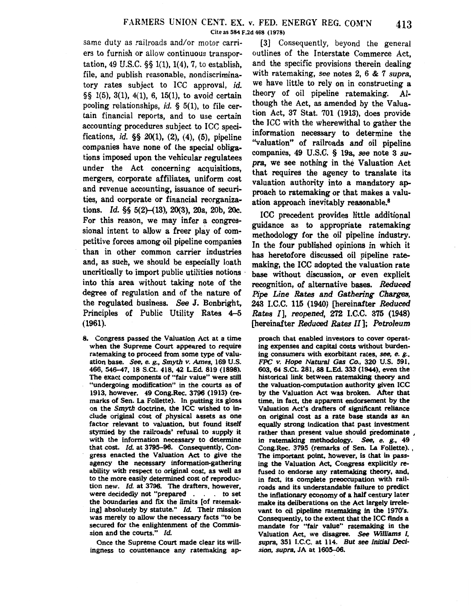same duty as railroads and/or motor carriers to furnish or allow continuous transportation, 49 U.S.C. §§ 1(1), 1(4), 7, to establish, file, and publish reasonable, nondiscriminatory rates subject to ICC approval, id. §§ 1(5), 3(1), 4(1), 6, 15(1), to avoid certain pooling relationships, id.  $\S$  5(1), to file certain financial reports, and to use certain accounting procedures subject to ICC specifications, *id.*  $\S$ § 20(1), (2), (4), (5), pipeline companies have none of the special obligations imposed upon the vehicular regulatees under the Act concerning acquisitions, mergers, corporate affiliates, uniform cost and revenue accounting, issuance of securities, and corporate or financial reorganizations. *Id.* §§ 5(2)-(13), 20(3), 20a, 20b, 20c. For this reason, we may infer a congressional intent to allow a freer play of competitive forces among oil pipeline companies than in other common carrier industries and, as such, we should be especially loath uncritically to import public utilities notions into this area without taking note of the degree of regulation and of the nature of the regulated business. *See* J. Bonbright, Principles of Public Utility Rates 4-5 (1961).

8. Congress passed the Valuation Act at a time when the Supreme Court appeared to require ratemaking to proceed from some type of valuation base. See, e. g., Smyth v. Ames, 169 U.S. 466, 546-47, 18 S.Ct. 418, 42 L.Ed. 819 (1898). The exact components of "fair value" were still "undergoing modification" in the courts as of 1913, however. 49 Cong.Rec. 3796 (1913) (remarks of Sen. La Follette). In putting its gloss on the Smyth doctrine, the ICC wished to include original cost of physical assets as one factor relevant to valuation, but found itself stymied by the railroads' refusal to supply it with the information necessary to determine that cost. *Id.* at 3795-96. Consequently, Congress enacted the Valuation Act to give the agency the necessary information-gathering ability with respect to original cost, as well as to the more easily determined cost of reproduction new. *Id.* at 3796. The drafters, however, were decidedly not "prepared . . to set the boundaries and fix the limits [of ratemaking] absolutely by statute." *ld.* Their mission was merely to allow the necessary facts "to be secured for the enlightenment of the Commission and the courts."  $Id.$ 

Once the Supreme Court made clear its willingness to countenance any ratemaking ap-

[3] Consequently, beyond the general outlines of the Interstate Commerce Act, and the specific provisions therein dealing with ratemaking, *see* notes 2, 6 & 7 *supra,*  we have little to rely on in constructing a theory of oil pipeline ratemaking. Although the Act, as amended by the Valuation Act, 37 Stat. 701 (1913), does provide the ICC with the wherewithal to gather the information necessary to determine the "valuation" of railroads and oil pipeline. companies, 49 U.S.C. § 19a, *see* note 3 *su*pra, we see nothing in the Valuation Act that requires the agency to translate its valuation authority into a mandatory approach to ratemaking or that makes a valuation approach inevitably reasonable. 8

ICC precedent provides little additional guidance as to appropriate ratemaking methodology for the oil pipeline industry. In the four published opinions in which it has heretofore discussed oil pipeline ratemaking, the ICC adopted the valuation rate base without discussion, or even explicit recognition, of alternative bases. *Reduced Pipe Line Rates* and *Gathering Charges,*  243 I.C.C. 115 (1940) (hereinafter *Reduced Rates* I], *reopened,* 272 I.C.C. 375 (1948) [hereinafter *Reduced Rates* II]; *Petroleum* 

proach that enabled investors to cover operating expenses and capital costs without burdening consumers with exorbitant rates, *see, e.* g., FPC *v.* Hope Natural Gas Co., 320 U.S. 591, 603, 64 S.Ct. 281, 88 L.Ed. 333 (1944), even the historical link between ratemaking theory and the valuation-computation authority given ICC by the Valuation Act was broken. After that time, in fact, the apparent endorsement by the Valuation Act's drafters of significant reliance on original cost as a rate base stands as an equally strong indication that past investment rather than present value should predominate , in ratemaking methodology. *See,* e. g., 49 Cong.Rec. 3795 (remarks of Sen. La Follette). , The important point, however, is that in passing the Valuation Act, Congress explicitly refused to endorse any ratemaking theory, and, in fact, its complete preoccupation with railroads and its understandable failure to predict the inflationary economy of a half century later make its deliberations on the Act largely irrelevant to oil pipeline ratemaking in the 1970's. Consequently, to the extent that the ICC finds a mandate for "fair value" ratemaking in the Valuation Act, we disagree. *See Williams I,*  supra, 351 I.C.C. at 114. *But* see Initial *Decision,* supra, JA at 1605-06.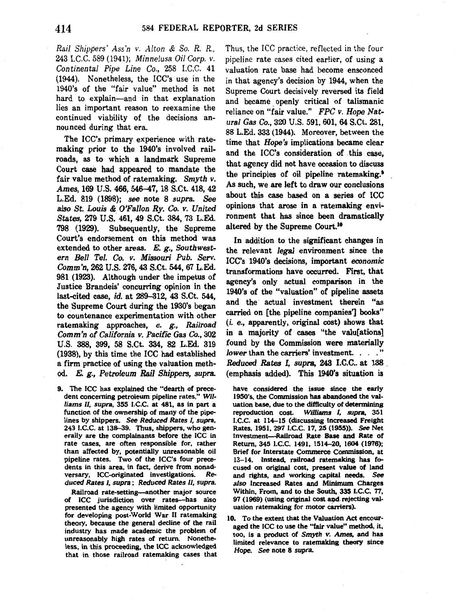*Rail Shippers' Ass'n v .. 4.lton* & *So. R. R.,*  243 I.C.C. 589 (1941); *Minnelusa Oil Corp. v. Continental Pipe Line Co.,* 258 I.C.C. 41 (1944). Nonetheless, the ICC's use in the 1940's of the "fair value" method is not hard to explain-and in that explanation lies an important reason to reexamine the continued viability of the decisions announced during that era.

The ICC's primary experience with ratemaking prior to the 1940's involved railroads, as to which a landmark Supreme Court case had appeared to mandate the fair value method of ratemaking. *Smyth v. Ames,* 169 U.S. 466, 546-47, 18 S.Ct. 418,42 L.Ed. 819 (1898); *see* note 8 *supra. See also St. Louis* & *O'Fallon Ry. Co. v. United States,* 279 U.S. 461, 49 S.Ct. 384, 73 L.Ed. 798 (1929). Subsequently, the Supreme Court's endorsement on this method was extended to other areas. E. g., *Southwestern Bell Tel. Co. v. Missouri Pub. Serv. Comm'n,* 262 U.S. 276,43 S.Ct. 544,67 L.Ed. 981 (1923). Although under the impetus of Justice Brandeis' concurring opinion in the last-cited case, *id.* at 289-312, 43 S.Ct. 544, the Supreme Court during the 1930's began to countenance experimentation with other ratemaking approaches, e. g., *Railroad Comm'n of California v. Pacific Gas Co.,* 302 U.S. 388, 399, 58 S.Ct. 334, 82 L.Ed. 319 (1938), by this time the ICC had established a firm practice of using the valuation method. *E. g., Petroleum Rail Shippers, supra.* 

9. The ICC has explained the "dearth of precedent concerning petroleum pipeline rates," *Williams II, supra,* 355 I.C.C. at 481, as in part a function of the ownership of many of the pipelines by. shippers. *See Reduced Rates I, supra,*  243 I.C.C. at 138-39. Thus, shippers, who generally are the complainants before the ICC in rate cases, are often responsible for, rather than affected by, potentially unreasonable oil pipeline rates. Two of the ICC's four precedents in this area, in fact, derive from nonadversary, ICC-originated investigations. Re*duced Rates I, supra* ; *Reduced Rates II, supra.* 

Railroad rate-setting-another major source of ICC jurisdiction over rates-has also presented the agency with limited opportunity for developing post-World War II ratemaking theory, because the general decline of the rail industry has made academic the problem of unreasonably high rates of return. Nonetheless, in this proceeding, the ICC acknowledged that in those railroad ratemaking cases that Thus, the ICC practice, reflected in the four pipeline rate cases cited earlier, of using a valuation rate base had become ensconced in that agency's decision by 1944, when the Supreme Court decisively reversed its field and became openly critical of talismanic reliance on "fair value." *FPC v. Hope Natural Gas Co.,* 320 U.S. 591, 601, 64 S.Ct. 281, 88 L.Ed. 333 (1944). Moreover, between the time that *Hope's* implications became clear and the ICC's consideration of this case, that agency did not have occasion to discuss the principles of oil pipeline ratemaking.' As such, we are left to draw our conclusions about this case based on a series of ICC opinions that arose in a ratemaking environment that has since been dramatically altered by the Supreme Court.<sup>10</sup>

In addition to the significant changes in the relevant *legal* environment since the ICC's 1940's decisions, important *economic*  transformations have occurred. First, that agency's only actual comparison in the 1940's of the "valuation" of pipeline assets and the actual investment therein "as carried on [the pipeline companies'] books" (i. e., apparently, original cost) shows that in a majority of cases "the valu[ations] found by the Commission were materially *lower* than the carriers' investment. . . . " *Reduced Rates I, supra, 243 I.C.C.* at 138 (emphasis added). This 1940's situation is

have considered the issue since the early 1950's, the Commission has abandoned the valuation base, due to the difficulty of determining reproduction cost. Williams I, *supra.* 351 I.C.C. at 114-15 (discussing Increased Freight Rates, 1951, 297 I.C.C. 17, 25 (1955)). See Net Investment-Railroad Rate Base and Rate of Return, 345 l.C.C. 1491, 1514-20, 1604 (1976); Brief for Interstate Commerce Commission, at 13-14. Instead, railroad ratemaking has focused on original cost, present value of land and rights, and working capital needs. *See*  also Increased Rates and Minimum Charges Within, From, and to the South, 335 I.C.C. 77, 97 (1969) (using original cost and rejecting valuation ratemaking for motor carriers).

10. To the extent that the Valuation Act encouraged the ICC to use the "fair value" method, it, too, is a product of Smyth *v. Ames,* and has limited relevance to raternaking theory since *Hope. See* note 8 *supra.*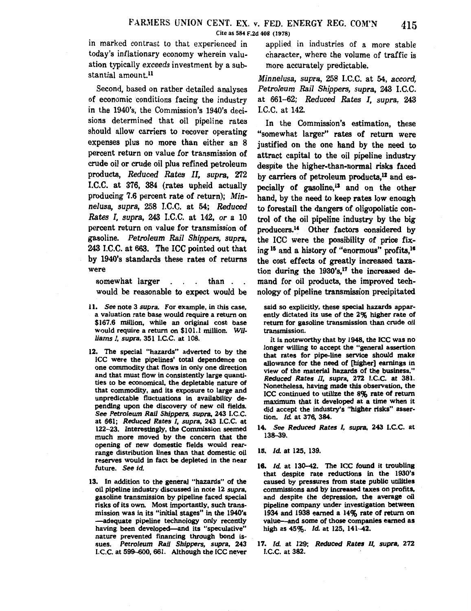in marked contrast to that experienced in applied in industries of a more stable today's inflationary economy wherein valu- character, where the volume of traffic is ation typically *exceeds* investment by a sub- more accurately predictable. stantial amount.<sup>11</sup>

Second, based on rather detailed analyses of economic conditions facing the industry in the 1940's, the Commission's 1940's decisions determined that oil pipeline rates should allow carriers to recover operating expenses plus no more than either an 8 percent return on value for transmission of crude oil or crude oil plus refined petroleum products, *Reduced Rates* II, *supra,* 272 I.C.C. at 376, 384 (rates upheld actually producing 7.6 percent rate of return); *Minnelusa, supra,* 258 I.C.C. at 54; *Reduced Rates I, supra,* 243 I.C.C. at 142, *or* a 10 percent return on value for transmission of gasoline. *Petroleum Rail Shippers, supra,*  243 I.C.C. at 663. The ICC pointed out that by 1940's standards these rates of returns were

somewhat larger . . . than . . would be reasonable to expect would be

- 11. *See* note 3 *supra.* For example, in this case, a valuation rate base would require a return on \$167.6 million, while an original cost base would require a return on \$101.1 million. *Williams 1, supra,* 351 I.C.C. at 108.
- 12. The special "hazards" adverted to by the ICC were the pipelines' total dependence on one commodity that flows in only one direction and that must flow in consistently large quantities to be economical, the depletable nature of that commodity, and its exposure to large and unpredictable fluctuations in availability depending upon the discovery of new oil fields. *See Petroleum Rail Shippers, supra,* 243 I.C.C. at 661; *Reduced Rates I, supra,* 243 I.C.C. at 122-23. Interestingly, the Commission seemed much more moved by the concern that the opening of new domestic fields would rearrange distribution lines than that domestic oil reserves would in fact be depleted in the near future. *See id.*
- 13. In addition to the general "hazards" of the oil pipeline industry discussed in note 12 *supra,*  gasoline transmission by pipeline faced special risks of its own. Most importantly, such transmission was in its "initial stages" in the 1940's -adequate pipeline technology only recently having been developed-and its "speculative" nature prevented financing through bond issues. *Petroleum Rail Shippers, supra,* 243 I.C.C. at 599-600, 661. Although the ICC never

*Minnelusa, supra,* 258 I.C.C. at 54, *accord, Petroleum Rail Shippers, supra,* 243 I.C.C. at 661-62; *Reduced Rates I, supra,* 243 I.C.C. at 142.

In the Commission's estimation, these "somewhat larger" rates of return were justified on the one hand by the need to attract capital to the oil pipeline industry despite the higher-than-normal risks faced by carriers of petroleum products,<sup>12</sup> and especially of gasoline, $13$  and on the other hand, by the need to keep rates low enough to forestall the dangers of oligopolistic control of the oil pipeline industry by the big producers.14 Other factors considered by the ICC were the possibility of price fixing <sup>15</sup> and a history of "enormous" profits,<sup>16</sup> the cost effects of greatly increased taxation during the  $1930's$ ,<sup>17</sup> the increased demand for oil products, the improved technology of pipeline transmission precipitated

said so explicitly, these special hazards apparently dictated its use of the 2% higher rate of return for gasoline transmission than crude oil transmission.

It is noteworthy that by 1948, the ICC was no longer willing to accept the "general assertion that rates for pipe-line service should make allowance for the need of [higher] earnings in view of the material hazards of the business." *Reduced Rates* II, *supra,* 272 I.C.C. at 381. Nonetheless, having made this observation, the ICC continued to utilize the 8% rate of return maximum that it developed at a time when it did accept the industry's "higher risks" assertion. *ld.* at 376, 384.

- 14. *See Reduced Rates* I, *supra,* 243 I.C.C. at 138-39.
- 15. *ld.* at 125, 139.
- 16. Id. at 130-42. The ICC found it troubling that despite rate reductions in the 1930's caused by pressures from state public utilities commissions and by increased taxes on profits, and despite the depression, the average oil pipeline company under investigation between 1934 and 1938 earned a 14% rate of return on value-and some of those companies earned as high as 45%. *Id.* at 125, 141-42.
- 17. *ld.* at 129; *Reduced Rates II, supra,* 272 I.C.C. at 382.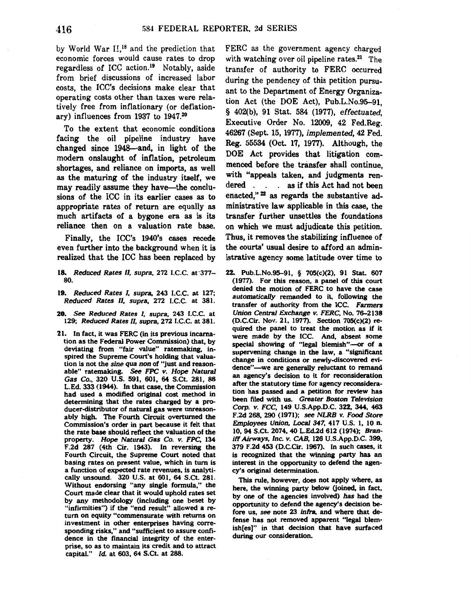by World War II,<sup>18</sup> and the prediction that economic forces would cause rates to drop regardless of ICC action.<sup>19</sup> Notably, aside from brief discussions of increased labor costs, the ICC's decisions make clear that operating costs other than taxes were relatively free from inflationary (or deflationary) influences from 1937 to 1947.20

To the extent that economic conditions facing the oil pipeline industry have changed since 1948-and, in light of the modern onslaught of inflation, petroleum shortages, and reliance on imports, as well as the maturing of the industry itself, we may readily assume they have-the conclusions of the ICC in its earlier cases as to appropriate rates of return are equally as much artifacts of a bygone era as is its reliance then on a valuation rate base.

Finally, the ICC's 1940's cases recede even further into the background when it is realized that the ICC has been replaced by

- 18. *Reduced Rates* II, *supra,* 272 I.C.C. at·377- 80.
- 19. *Reduced Rates I, supra,* 243 I.C.C. at 127; *Reduced Rates* II, *supra,* 272 I.C.C. at 381.
- 20. See *Reduced Rates* I, *supra,* 243 I.C.C. at 129; *Reduced Rates* II, *supra,* 272 I.C.C. at 381.
- 21. In fact, it was FERC (in its previous incarnation as the Federal Power Commission) that, by deviating from "fair value" ratemaking, inspired the Supreme Court's holding that valuation is not the sine *qua* non of "just and reasonable" ratemaking. *See* FPC *v.* Hope *Natural Gas* Co., 320 U.S. 591, 601, 64 S.Ct. 281, 88 L.Ed. 333 (1944). In that case, the Commission had used a modified original cost method in determining that the rates charged by a producer-distributor of natural gas were unreasonably high. The Fourth Circuit overturned the Commission's order in part because it felt that the rate base should reflect the valuation of the property. Hope Natural Gas Co. v. FPC, 134 F.2d 287 (4th Cir. 1943). In reversing the Fourth Circuit, the Supreme Court noted that basing rates on present value, which in tum is a function of expected rate revenues, is analytically unsound. 320 U.S. at 601, 64 S.Ct. 281. Without endorsing "any single formula," the Court made clear that it would uphold rates set by any methodology (including one beset by "infirmities") if the "end result" allowed a return on equity "commensurate with returns on investment in other enterprises having corresponding risks," and "sufficient to assure confidence in the financial integrity of the enterprise, so as to maintain its credit and to attract capital." *ld.* at 603, 64 S.Ct. at 288.

FERC as the government agency charged with watching over oil pipeline rates.<sup>21</sup> The transfer of authority to FERC occurred during the pendency of this petition pursuant to the Department of Energy Organization Act (the DOE Act), Pub.L.No.95-91, § 402(b), 91 Stat. 584 (1977), effectuated, Executive Order No. 12009, 42 Fed.Reg. 46267 (Sept. 15, 1977), *implemented,* 42 Fed. Reg. 55534 (Oct. 17, 1977). Although, the DOE Act provides that litigation commenced before the transfer shall continue, with "appeals taken, and judgments rendered . . . as if this Act had not been enacted," $^{22}$  as regards the substantive administrative law applicable in this case, the transfer further unsettles the foundations on which we must adjudicate this petition. Thus, it removes the stabilizing influence of the courts' usual desire to afford an administrative agency some latitude over time to

22. Pub.L.No.95-91, § 705(c)(2), 91 Stat. 607 (1977). For this reason, a panel of this court denied the motion of FERC to have the case *automatically* remanded to it, following the transfer of authority from the ICC. Farmers Union Central Exchange v. FERC, No. 76-2138 (D.C.Cir. Nov. 21, 1977). Section 705(c)(2) required the panel to treat the motion as if it were made by the ICC. And, absent some special showing of "legal blemish"-or of a supervening change in the law, a "significant change in conditions or newly-discovered evidence"-we are generally reluctant to remand an agency's decision to it for reconsideration after the statutory time for agency reconsideration has passed and a petition for review has been filed with us. *Greater* Boston Television Corp. *v.* FCC, 149 U.S.App.D.C. 322, 344, 463 F.2d 268, 290 (1971); see *NLRB v. Food Store*  Employees Union, Local347, 417 U.S. 1, 10 n. 10, 94 S.Ct. 2074, 40 L.Ed.2d 612 (1974); Braniff Airways, Inc. v. CAB, 126 U.S.App.D.C. 399, 379 F.2d 453 (D.C.Cir. 1967). In such cases, it is recognized that the winning party has an interest in the opportunity to defend the agency's original determination.

This rule, however, does not apply where, as here, the winning party below (joined, in fact, by one of the agencies involved) *has* had the opportunity to defend the agency's decision before us, see note 23 infra, and where that defense has not removed apparent "legal blemish[es]" in that decision that have surfaced during our consideration.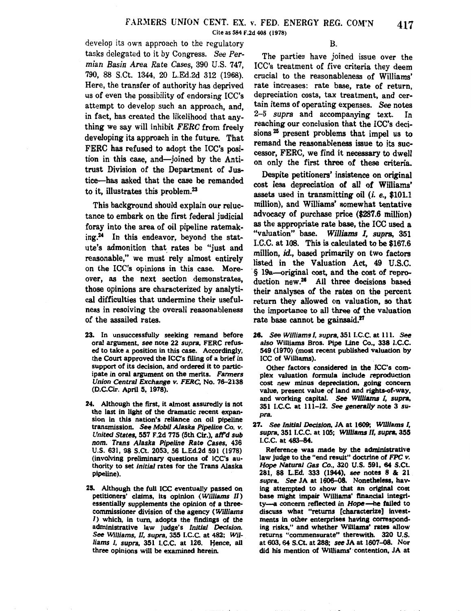Cite as 584 F.2d 408 ( 1978)

develop its own approach to the regulatory B. tasks delegated to it by Congress. *See Permian Basin Area Rate Cases,* 390 U.S. 747, 790, 88 S.Ct. 1344, 20 L.Ed.2d 312 (1968). Here, the transfer of authority has deprived us of even the possibility of endorsing ICC's attempt to develop such an approach, and, in fact, has created the likelihood that anything we say will inhibit *FERC* from freely developing its approach in the future. That FERC has refused to adopt the ICC's position in this case, and-joined by the Antitrust Division of the Department of Justice-has asked that the case be remanded to it, illustrates this problem.<sup>23</sup>

This background should explain our reluctance to embark on the first federal judicial foray into the area of oil pipeline ratemaking.24 In this endeavor, beyond the statute's admonition that\_ rates be "just and reasonable," we must rely almost entirely on the ICC's opinions in this case. Moreover, as the next section demonstrates, those opinions are characterized by analytical difficulties that undermine their usefulness in resolving the overall reasonableness of the assailed rates.

- 23. In unsuccessfully seeking remand before oral argument, see note 22 supra, FERC refused to take a position in this case. Accordingly, the Court approved the ICC's filing of a brief in support of its decision, and ordered it to participate in oral argument on the merits. Farmers Union Central Exchange v. FERC, No. 76-2138 (D.C.Cir. April 5, 1978).
- 24. Although the first, it almost assuredly is not the last in light of the dramatic recent expansion in this nation's reliance on oil pipeline transmission. See Mobil Alaska Pipeline Co. *v.*  United States, 557 F.2d 775 (5th Cir.), aff'd sub nom. Trans Alaska Pipeline Rate Cases, 436 U.S. 631, 98 S.Ct. 2053, 56 L.Ed.2d 591 (1978) (involving preliminary questions of ICC's authority to set initial rates for the Trans Alaska pipeline).
- 25. Although the full ICC eventually passed on petitioners' claims, its opinion (Williams II) essentially supplements the opinion of a threecommissioner division of the agency (Williams 1) which, in tum, adopts the findings of the administrative law judge's Initial Decision See Williams, II, supra, 355 I.C.C. at 482; Williams I, supra, 351 I.C.C. at 126. Hence, all three opinions will be examined herein.

The parties have joined issue over the ICC's treatment of five criteria they deem crucial to the reasonableness of Williams' rate increases: rate base, rate of return, depreciation costs, tax treatment, and certain items of operating expenses. See notes 2-5 *supra* and accompanying text. In reaching our conclusion that the ICC's decisions 25 present problems that impel us to remand the reasonableness issue to its successor, FERC, we find it necessary to dwell on only the first three of these criteria.

Despite petitioners' insistence on original cost less depreciation of all of Williams' assets used in transmitting oil (i. e., \$101.1 million), and Williams' somewhat tentative advocacy of purchase price (\$287.6 million) as the appropriate rate base, the ICC used a "valuation" base. *Williams I, supra,* 351 I.C.C. at 108. This is calculated to be \$167.6 million, id., based primarily on two factors listed in the Valuation Act, 49 U.S.C. · § 19a-original cost, and the cost of reproduction new.26 All three decisions based their analyses of the rates on the percent return they allowed on valuation, so that the importance to all three of the valuation rate base cannot be gainsaid.<sup>27</sup>

26. See Williams I, supra, 351 I.C.C. at 111. See also Williams Bros. Pipe Une Co., 338 l.C.C. 549 (1970) (most recent published valuation by ICC of Williams).

Other factors considered in the ICC's complex valuation formula include reproduction cost new minus depreciation, going concern value, present value of land and rights-of-way, and working capital. See Williams I, supra, 351 I.C.C. at 111-12. See generally note 3 supra.

27. See Initial Decision, JA at 1609; Williams I, supra, 351 I.C.C. at 105; Williams II, supra, 355 I.C.C. at 483-84.

Reference was made by the administrative law judge to the "end result" doctrine of *FPC v.*  Hope Natural Gas Co., 320 U.S. 591, 64 S.Ct. 281, 88 L.Ed. 333 (1944), see notes 8 & 21 supra. See JA at 1606-08. Nonetheless, having attempted to show that an original cost base might impair Wllliams' financial integrity-a concern reflected in Hope-he failed to discuss what "returns [characterize] investments in other enterprises having corresponding risks," and whether Williams' rates allow returns "commensurate" therewith. 320 U.S. at 603, 64 S.Ct. at 288; see JA at 1607-08. Nor did his mention of Williams' contention, JA at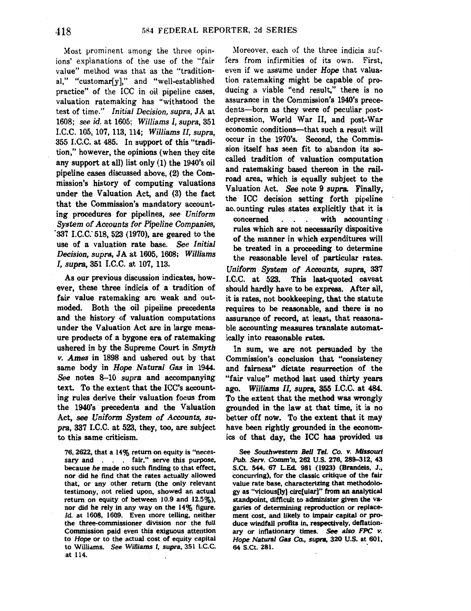Most prominent among the three opinions' explanations of the use of the "fair value" method was that as the "traditional," "customar[y]," and "well-established practice" of the ICC in oil pipeline cases, valuation ratemaking has "withstood the test of time." *Initial Decision, supra,* JA at 1608; *see id.* at 1605; *Williams I, supra,* 351 I.C.C. 105, 107, 113, 114; *Williams II, supra,*  355 I.C.C. at 485. In support of this "tradition," however, the opinions (when they cite any support at all) list only (1) the 1940's oil pipeline cases discussed above, (2) the Commission's history of computing valuations under the Valuation Act, and (3) the fact that the Commission's mandatory accounting procedures for pipelines, *see Uniform System of Accounts for Pipeline Companies,*  '337 *I.C.C:* 518, 523 (1970), are geared to the use of a valuation rate base. *See Initial Decision, supra,* JA at 1605, 1608; *Williams I, supra,* 351 I.C.C. at 107, 113.

As our previous discussion indicates, however, these three indicia of a tradition of fair value ratemaking are weak and outmoded. Both the oil pipeline precedents and the history of valuation computations under the Valuation Act are in large measure products of a bygone era of ratemaking ushered in by the Supreme Court in *Smyth v. Ames* in 1898 and ushered out by that same body in *Hope Natural Gas* in 1944. *See* notes 8-10 *supra* and accompanying text. To the extent that the ICC's accounting rules derive their valuation focus from the 1940's precedents and the Valuation Act, see *Uniform System of Accounts, supra,* 337 I.C.C. at 523, they, too, are subject to this same criticism.

76, 2622, that a 14% return on equity is "necessary and . . . fair," serve this purpose, because he made no such finding to that effect, nor did he find that the rates actually allowed that, or any other return (the only relevant testimony, not relied upon, showed an actual return on equity of between 10.9 and 12.5%), nor did he rely in any way on the 14% figure. *ld.* at 1608, 1609. Even more telling, neither the three-commissioner division nor the full Commission paid even this exiguous attention to Hope or to the actual cost of equity capital to Williams. See Williams 1, supra, 351 l.C.C. at 114.

Moreover, each of the three indicia suffers from infirmities of its own. First, even if we assume under *Hope* that valuation ratemaking might be capable of producing a viable "end result," there is no assurance in the Commission's 1940's precedents-born as they were of peculiar postdepression, World War II, and post-War economic conditions—that such a result will occur in the 1970's. Second, the Commission itself has seen fit to abandon its socalled tradition of valuation computation and ratemaking based thereon in the railroad area, which is equally subject to the Valuation Act. *See* note 9 *supra.* Finally, the ICC decision setting forth pipeline ac ounting rules states explicitly that it is  $\frac{1}{2}$  concerned . . . with accounting rules which are not necessarily dispositive of the manner in which expenditures will be treated in a proceeding to determine the reasonable level of particular rates. *Uniform System of Accounts, supra,* 337 I.C.C. at 523. This last-quoted caveat should hardly have to be express. After all, it is rates, not bookkeeping, that the statute requires to be reasonable, and there is no assurance of record, at least, that reasonable accounting measures translate automatically into reasonable rates.

In sum, we are not persuaded by the Commission's conclusion that "consistency and fairness" dictate resurrection of the "fair value" method last used thirty years ago. *Williams* II, *supra,* 355 I.C.C. at 484. To the extent that the method was wrongly grounded in the law at that time, it is no better off now. To the extent that it may have been rightly grounded in the economics of that day, the ICC has provided us

See Southwestern Bell Tel. Co. v. Missouri Pub. Serv. Comm'n, 262 U.S. 276, 289-312, 43 S.Ct. 544, 67 L.Ed. 981 (1923) (Brandeis, J., concurring), for the classic critique of the fair value rate base, characterizing that methodology as "vicious[ly) circ[ular]" from an analytical standpoint, difficult to administer given the vagaries of determining reproduction or replacement cost, and likely to impair capital or produce windfall profits in, respectively, deflationary or inflationary times. See also FPC *v.*  Hope Natural Gas Co., supra, 320 U.S. at 601, 64 S.Ct. 281.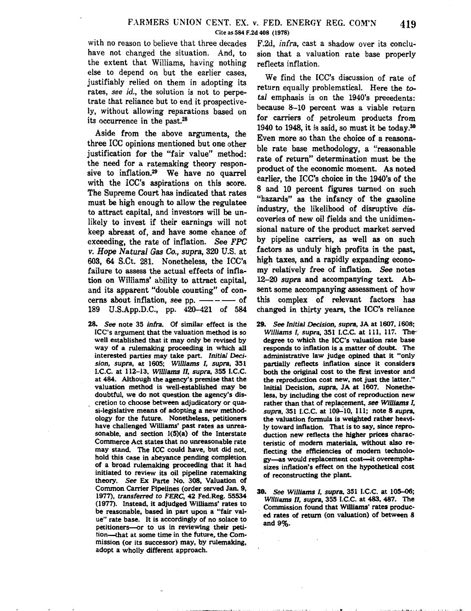with no reason to believe that three decades have not changed the situation. And, to the extent that Williams, having nothing else to depend on but the earlier cases, justifiably relied on them in adopting its rates, *see* id., the solution is not to perpetrate that reliance but to end it prospectively, without allowing reparations based on its occurrence in the past.<sup>28</sup>

Aside from the above arguments, the three ICC opinions mentioned but one other justification for the "fair value" method: the need for a ratemaking theory responsive to inflation.29 We have no quarrel with the ICC's aspirations on this score. The Supreme Court has indicated that rates must be high enough to allow the regulatee to attract capital, and investors will be unlikely to invest if their earnings will not keep abreast of, and have some chance of exceeding, the rate of inflation. *See FPC v. Hope Natural Gas Co., supra,* 320 U.S. at 603, 64 S.Ct. 281. Nonetheless, the ICC's failure to assess the actual effects of inflation on Williams' ability to attract capital, and its apparent "double counting" of concerns about inflation, see pp. ----- of 189 U.S.App.D.C., pp. 420-421 of 584

28. *See* note 35 *infra.* Of similar effect is the ICC's argument that the valuation method is so well established that it may only be revised by way of a rulemaking proceeding in which all interested parties may take part. *Initial Decision, supra,* at 1605; *Williams I, supra,* 351 I.C.C. at 112-13, *Williams II, supra,* 355 I.C.C. at 484. Although the agency's premise that the valuation method is well-established may be doubtful, we do not question the agency's discretion to choose between adjudicatory or quasi-legislative means of adopting a new methodology for the future. Nonetheless, petitioners have challenged Williams' past rates as unreasonable, and section 1(5)(a) of the Interstate Commerce Act states that no unreasonable rate may stand. The ICC could have, but did not, hold this case in abeyance pending completion of a broad rulemaking proceeding that it had initiated to review its oil pipeline ratemaking theory. See Ex Parte No. 308. Valuation of Common Carrier Pipelines (order served Jan. 9, 1977), transferred to *FERC,* 42 Fed.Reg. 55534 ( 1977). Instead, it adjudged Williams' rates to be reasonable, based in part upon a "fair value" rate base. It is accordingly of no solace to petitioners-or to us in reviewing their petition--that at some time in the future, the Commission (or its successor) may, by rulemaking, adopt a wholly different approach.

F.2d, infra, cast a shadow over its conclusion that a valuation rate base properly reflects inflation.

We find the ICC's discussion of rate of return equally problematical. Here the *total* emphasis is on the 1940's precedents: because 8-10 percent was a viable return for carriers of petroleum products from 1940 to 1948, it is said, so must it be today.<sup>30</sup> Even more so than the choice of a reasonable rate base methodology, a "reasonable rate of return" determination must be the product of the economic moment. As noted earlier, the ICC's choice in the 1940's of the 8 and 10 percent figures turned on such "hazards" as the infancy of the gasoline industry, the likelihood of disruptive discoveries of new oil fields and the unidimensional nature of the product market served by pipeline carriers, as well as on such factors as unduly high profits in the past, high taxes, and a rapidly expanding economy relatively free of inflation. See notes 12-20 *supra* and accompanying text. Absent some accompanying assessment of how this complex of relevant factors has changed in thirty years, the ICC's reliance

- 29. See *Initial Decision, supra,* JA at 1607, 1608; *Williams I, supra, 351 I.C.C. at 111, 117. The*degree to which the ICC's valuation rate base responds to inflation is a matter of doubt. The administrative law judge opined that it "only partially reflects inflation since it considers both the original cost to the first investor and the reproduction cost new, not just the latter." Initial Decision, *supra,* JA at 1607. Nonetheless, by including the cost of reproduction new rather than that of replacement, see Williams I, *supra, 351 I.C.C. at 109-10, 111; note 8 supra,* the valuation formula is weighted rather heavily toward inflation. That is to say, since reproduction new reflects the higher prices characteristic of modem materials, without also reflecting the efficiencies of modem technology-as would replacement cost--it overemphasizes inflation's effect on the hypothetical cost of reconstructing the plant.
- 30. See *Williams I, supra,* 351 I.C.C. at 105-06; *Williams II, supra,* 355 I.C.C. at 483, 487. The Commission found that Williams' rates produced rates of return (on valuation) of between 8 and 9%.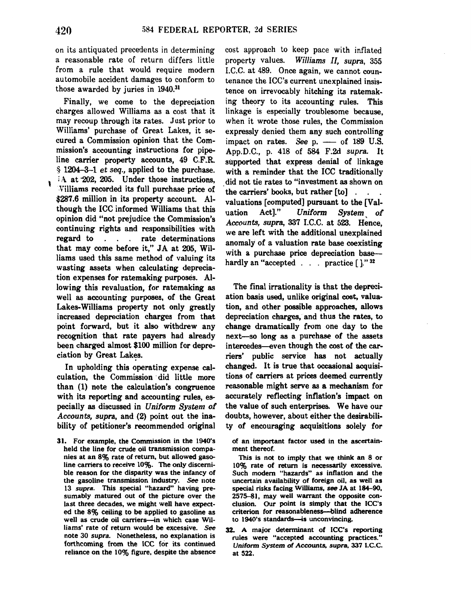on its antiquated precedents in determining a reasonable rate of return differs little from a rule that would require modern automobile accident damages to conform to those awarded by juries in 1940.<sup>31</sup>

Finally, we come to the depreciation charges allowed Williams as a cost that it may recoup through its rates. Just prior to Williams' purchase of Great Lakes, it secured a Commission opinion that the Commission's accounting instructions for pipeline carrier property accounts, 49 C.F.R. § 1204-3--1 *et seq.,* applied to the purchase.  $\rm A$  at 202, 205. Under those instructions, .Villiams recorded its full purchase price of \$287.6 million in its property account. Although the ICC informed Williams that this opinion did "not prejudice the Commission's continuing rights and responsibilities with regard to . . . rate determinations that may come before it," JA at 205, Williams used this same method of valuing its wasting assets when calculating depreciation expenses for ratemaking purposes. Allowing this revaluation, for ratemaking as well as accounting purposes, of the Great Lakes-Williams property not only greatly increased depreciation charges from that point forward, but it also withdrew any recognition that rate payers had already been charged almost \$100 million for depreciation by Great Lakes.

In upholding this operating expense calculation, the Commission ·did little more than (1) note the calculation's congruence with its reporting and accounting rules, especially as discussed in *Uniform System of Accounts, supra,* and (2) point out the inability of petitioner's recommended original

31. For example, the Commission in the 1940's held the line for crude oil transmission companies at an 8% rate of return, but allowed gasoline carriers to receive 10%. The only discernible reason for the disparity was the infancy of the gasoline transmission industry. See note 13 supra. This special "hazard" having presumably matured out of the picture over the last three decades, we might well have expected the 8% ceiling to be applied to gasoline as well as crude oil carriers--in which case Williams' rate of return would be excessive. See note 30 supra. Nonetheless, no explanation is forthcoming from the ICC for its continued reliance on the 10% figure, despite the absence cost approach to keep pace with inflated property values. Williams II, supra, 355 I.C.C. at 489. Once again, we cannot countenance the ICC's current unexplained insistence on irrevocably hitching its ratemaking theory to its accounting rules. This linkage is especially troublesome because, when it wrote those rules, the Commission expressly denied them any such controlling impact on rates. *See*  $p. \longrightarrow$  of 189 U.S. App.D.C., p. 418 of 584 F.2d *supra.* It supported that express denial of linkage with a reminder that the ICC traditionally did not tie rates to "investment as shown on the carriers' books, but rather [to] . valuations [computed] pursuant to the [Valuation Act]." *Uniform System, of Accounts, supra,* 337 I.C.C. at 523. Hence, we are left with the additional unexplained anomaly of a valuation rate base coexisting with a purchase price depreciation basehardly an "accepted  $\ldots$  practice  $[$ ]." <sup>32</sup>

The final irrationality is that the depreciation basis used, unlike original cost, valuation, and other possible approaches, allows depreciation charges, and thus the rates, to change dramatically from one day to the next-so long as a purchase of the assets intercedes-even though the cost of the carriers' public service has not actually changed. It is true that occasional acquisitions of carriers at prices deemed currently reasonable might serve as a mechanism for accurately reflecting inflation's impact on the value of such enterprises. We have our doubts, however, about either the desirability of encouraging acquisitions solely for

of an important factor used in the ascertainment thereof.

This is not to imply that we think an 8 or 10% rate of return is necessarily excessive. Such modem "hazards" as inflation and the uncertain availability of foreign oil, as well as special risks facing Williams, *see* JA at 184-90, 2575-81, may well warrant the opposite conclusion. Our point is simply that the ICC's criterion for reasonableness--blind adherence to 1940's standards-is unconvincing.

32. A major determinant of ICC's reporting rules were "accepted accounting practices." Uniform System of Accounts, supra, 337 I.C.C. at 522.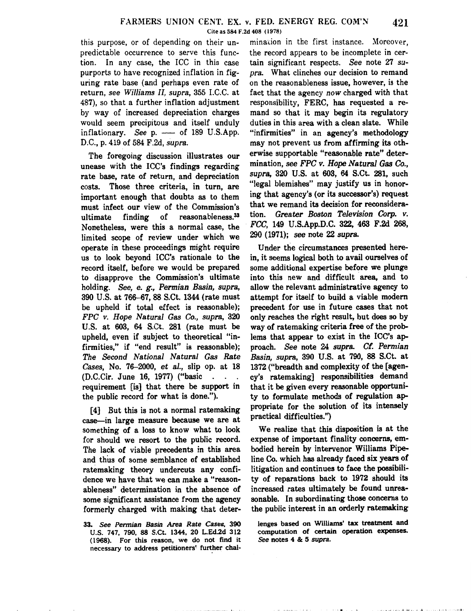predictable occurrence to serve this func- the record appears to be incomplete in certion. In any case, the ICC in this case tain significant respects. *See* note 27 *su*purports to have recognized inflation in fig- *pra.* What clinches our decision to remand uring rate base (and perhaps even rate of on the reasonableness issue, however, is the return, *see Williams II, supra,* 355 I.C.C. at fact that the agency *now* charged with that 487), so that a further inflation adjustment responsibility, FERC, has requested a reby way of increased depreciation charges mand so that it may begin its regulatory would seem precipitous and itself unduly duties in this area with a clean slate. While inflationary. *See* p. — of 189 U.S.App. "infirmities" in an agency's methodology D.C., p. 419 of 584 F.2d, *supra.* may not prevent us from affirming its oth-

unease with the ICC's findings regarding mination, see FPC v. Hope Natural Gas Co., <br>note has note of natural depreciation supra, 320 U.S. at 603, 64 S.Ct. 281, such rate base, rate of return, and depreciation *supra, 320* U.S. at 603, 64 S.Ct. 281, such<br>costs. These three criteria in turn are "legal blemishes" may justify us in honorcosts. Those three criteria, in turn, are "legal blemishes" may justify us in honor-<br>important enough that doubts as to them ing that agency's (or its successor's) request important enough that doubts as to them ing that agency's (or its successor's) request<br>must infect our view of the Commission's that we remand its decision for reconsideramust infect our view of the Commission's ultimate finding of reasonableness.<sup>33</sup> tion. *Greater Boston Television Corp. v.*<br>Nonetheless were this a normal case the FCC, 149 U.S.App.D.C. 322, 463 F.2d 268, Nonetheless, were this a normal case, the  $FCC$ , 149 U.S.App.D.C. 322, 4<br>limited seene of review under which we  $290$  (1971); see note 22 supra. limited scope of review under which we operate in these proceedings might require Under the circumstances presented hereus to look beyond ICC's rationale to the in, it seems logical both to avail ourselves of record itself, before we would be prepared some additional expertise before we plunge to disapprove the Commission's ultimate into this new and difficult area, and to holding. See, e.  $g_r$ . Permian Basin, supra, allow the relevant administrative agency to holding. *See,* e. *g., Permian Basin, supra,* allow the relevant administrative agency to 390 U.S. at 766-67, 88 S.Ct. 1344 (rate must be upheld if total effect is reasonable); precedent for use in future cases that not *FPC v. Hope Natural* Gas *Co., supra,* 320 only reaches the right result, but does *so* by U.S. at 603, 64 S.Ct. 281 (rate must be way of ratemaking criteria free of the probupheld, even if subject to theoretical "in- lems that appear to exist in the ICC's apfirmities," if "end result" is reasonable); proach. *See* note 24 *supra. Cf. Permian The Second National Natural* Gas *Rate Basin, supra,* 390 U.S. at 790, 88 S.Ct. at *Cases,* No. 76-2000, et *al.,* slip op. at 18 1372 ("breadth and complexity of the [agen- (D.C.Cir. June 16, 1977) ("basic . . . cy's ratemaking] responsibilities demand requirement [is] that there be support in that it be given every reasonable opportunithe public record for what is done."). ty to formulate methods of regulation ap-

case-in large measure because we are at something of a loss to know what to look We realize that this disposition is at the for should we resort to the public record. expense of important finality concerns, emfor should we resort to the public record. expense of important finality concerns, em-<br>The lack of viable precedents in this area bodied herein by intervenor Williams Pipe-The lack of viable precedents in this area and thus of some semblance of established line Co. which has already faced six years of ratemaking theory undercuts any confi- litigation and continues to face the possibiliratemaking theory undercuts any confidence we have that we can make a "reason- ty of reparations back to 1972 should its ableness" determination in the absence of increased rates ultimately be found unreaableness" determination in the absence of some significant assistance from the agency sonable. In subordinating those concerns to formerly charged with making that deter- the public interest in an orderly ratemaking

33. *See Permian Basin Area Rate Cases,* 390 U.S. 747, 790, 88 S.Ct. 1344, 20 L.Ed.2d 312 ( 1968). For this reason, we do not find it necessary to address petitioners' further cha1-

this purpose, or of depending on their un- mination in the first instance. Moreover, The foregoing discussion illustrates our erwise supportable "reasonable rate" deter-<br>reasonable rate" deter-

[4] But this is not a normal ratemaking propriate for the solution of its intensely

lenges based on Williams' tax treatment and computation of certain operation expenses. *See* notes 4 & 5 *supra.* 

.<br>• I Itt • for a straightforward in the form

 $-3 - 2 - 4$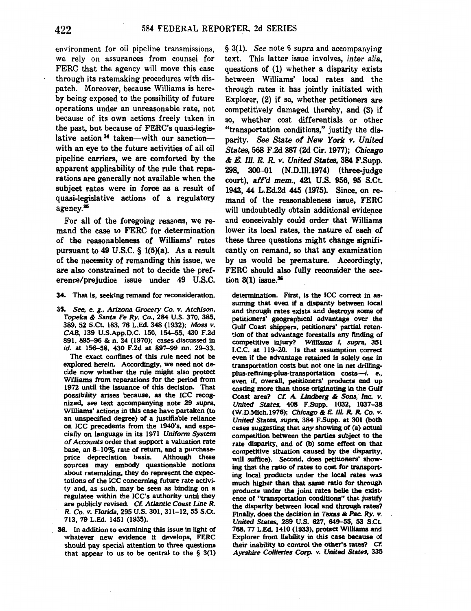environment for oil pipeline transmissions, we rely on assurances from counsel for FERC that the agency will move this case through its ratemaking procedures with dispatch. Moreover, because Williams is hereby being exposed to the possibility of future operations under an unreasonable rate, not because of its own actions freely taken in the past, but because of FERC's quasi-legislative action<sup>34</sup> taken--with our sanctionwith an eye to the future activities of all oil pipeline carriers, we are comforted by the apparent applicability of the rule that reparations are generally not available when the subject rates were in force as a result of quasi-legislative actions of a regulatory agency.35

For all of the foregoing reasons, we remand the case to FERC for determination of the reasonableness of Williams' rates pursuant to 49 U.S.C.  $\S$  1(5)(a). As a result of the necessity of remanding this issue, we are also constrained not to decide the· preference/prejudice issue under 49 U.S.C.

34. That is, seeking remand for reconsideration.

35. See, e. g., Arizona Grocery Co. v. Atchison, Topeka & Santa Fe Ry. Co., 284 U.S. 370, 385, 389, 52 S.Ct. 183, 76 L.Ed. 348 (1932); Moss *v.*  CAB, 139 U.S.App.D.C. 150, 154-55, 430 F.2d 891, 895-96 & n. 24 (1970); cases discussed in id. at 156-58, 430 F.2d at 897-99 nn. 29-33.

The exact confines of this rule need not be explored herein. Accordingly, we need not decide now whether the rule might also protect Williams from reparations for the period from 1972 until the issuance of this decision. That possibility arises because, as the ICC recognized, see text accompanying note 29 supra. Williams' actions in this case have partaken (to an unspecified degree) of a justifiable reliance on ICC precedents from the 1940's, and especially on language in its 1971 Uniform System of Accounts order that support a valuation rate base, an 8-10% rate of return, and a purchaseprice depreciation basis. Although these sources may embody questionable notions about ratemaking, they do represent the expectations of the ICC concerning future rate activity and, as such, may be seen as binding on a regulatee within the ICC's authority until they are publicly revised. Cf. Atlantic Coast Line R. R. Co. v. Florida, 295 U.S. 301, 311-12, 55 S.Ct. 713, 79 L.Ed. 1451 (1935).

38. In addition to examining this issue in light of whatever new evidence it develops, FERC should pay special attention to three questions that appear to us to be central to the  $\S$  3(1) § 3(1). *See* note 6 *supra* and accompanying text. This latter issue involves, *inter alia,*  questions of (1) whether a disparity exists between Williams' local rates and the through rates it has jointly initiated with Explorer, (2) if so, whether petitioners are competitively damaged thereby, and (3) if so, whether cost differentials or other "transportation conditions," justify the disparity. *See State of New York v. United States,* 568 F.2d 887 (2d Cir. 1977); Chicago & *E. Ill. R. R. v. United States,* 384 F.Supp. 298, 300-01 (N.D.Ill.1974) (three-judge court), aff'd mem., 421 U.S. 956, 95 S.Ct. 1943, 44 L.Ed.2d 445 (1975). Since, on remand of the reasonableness issue, FERC will undoubtedly obtain additional evidence and conceivably could order that Williams lower its local rates, the nature of each of these three questions might change significantly on remand, so that any examination by us would be premature. Accordingly, FERC should also fully reconsider the section  $3(1)$  issue.<sup>36</sup>

determination. First, is the ICC correct in assuming that even if a disparity between local and through rates exists and destroys some of petitioners' geographical advantage over the Gulf Coast shippers, petitioners' partial retention of that advantage forestalls any finding of competitive injury? Williams I, supra, 351 I.C.C. at 119-20. Is that assumption correct even if the advantage retained is solely one in transportation costs but not one in net drillingplus-refining-plus-transportation costs-i. e., even if, overall, petitioners' products end up costing more than those originating in the Gulf Coast area? Cf. *A.* Lindberg & Sons, Inc. v. United States, 408 F.Supp. 1032, 1037-38 (W.D.Mich.l976); Chicago & *E.* Ill. *R. R.* Co. *v.*  United States, supra, 384 F.Supp. at 301 (both cases suggesting that any showing of (a) actual competition between the parties subject to the rate disparity, and of (b) some effect on that competitive situation caused by the disparity, will suffice). Second, does petitioners' showing that the ratio of rates to cost for transporting local products under the local rates was much higher than that same ratio for through products under the joint rates belle the existence of "transportation conditions" that justify the disparity between local and through rates? Finally, does the decision in Texas & Pac. Ry. v. United States, 289 U.S. 627, 649-55, 53 S.Ct. 768, 77 L.Ed. 1410 (1933), protect Williams and Explorer from liability in this case because of their inability to control the other's rates? Cf. Ayrshire Collieries *Corp.* v. United States, 335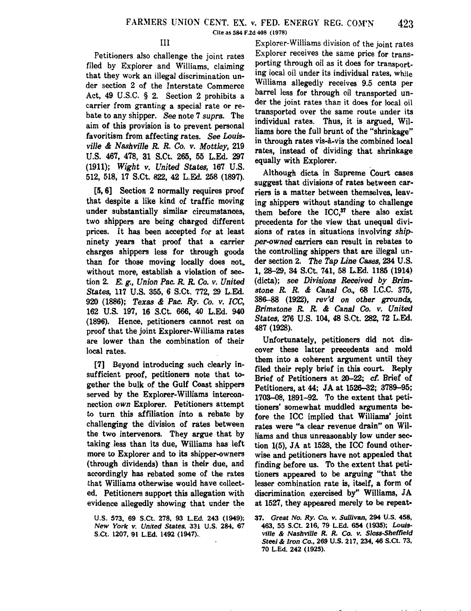#### III

Petitioners also challenge the joint rates filed by Explorer and Williams, claiming that they work an illegal discrimination under section 2 of the Interstate Commerce Act, 49 U .S.C. § 2. Section 2 prohibits a carrier from granting a special rate or rebate to any shipper. *See* note 7 *supra.* The aim of this provision is to prevent personal favoritism from affecting rates. *See Louisville* & *Nashville R. R. Co. v. Mottley,* 219 U.S. 467, 478, 31 S.Ct. 265, 55 L.Ed. 297 (1911); *Wight* v. *United States,* 167 U.S. 512, 518, 17 S.Ct. 822, 42 L.Ed. 258 (1897).

[5, 6] Section 2 normally requires proof that despite a like kind of traffic moving under substantially similar circumstances, two shippers are being charged different prices. It has been accepted for at least ninety years that proof that a carrier charges shippers less for through goods than for those moving locally does not,. without more, establish a violation of section 2. E. *g., Union Pac. R. R.* Co. *v. United States,* 117 U.S. 355, 6 S.Ct. 772, 29 L.Ed. 920 (1886); *Texas* & *Pac. Ry. Co. v. ICC,*  162 U.S. 197, 16 S.Ct. 666, 40 L.Ed. 940 (1896). Hence, petitioners cannot rest on proof that the joint Explorer-Williams rates are lower than the combination of their local rates.

[7] Beyond introducing such clearly insufficient proof, petitioners note that together the bulk of the Gulf Coast shippers served by the Explorer-Williams interconnection *own* Explorer. Petitioners attempt to turn this affiliation into a rebate by challenging the division of rates between the two intervenors. They argue that by taking less than its due, Williams has left more to Explorer and to its shipper-owners (through dividends) than is their due, and accordingly has rebated some of the rates that Williams otherwise would have collected. Petitioners support this allegation with evidence allegedly showing that under the

U.S. 573, 69 S.Ct. 278, 93 L.Ed. 243 (1949); New York v. United States, 331 U.S. 284, 67 S.Ct. 1207, 91 L.Ed. 1492 (1947).

Explorer-Williams division of the joint rates Explorer receives the same price for transporting through oil as it does for transporting local oil under its individual rates, while Williams allegedly receives 9.5 cents per barrel less for through oil transported under the joint rates than it does for local oil transported over the same route under its individual rates. Thus, it is argued, Williams bore the full brunt of the "shrinkage" in through rates vis-à-vis the combined local rates, instead of dividing that shrinkage equally with Explorer.

Although dicta in Supreme Court cases suggest that divisions of rates between carriers is a matter between themselves, leaving shippers without standing to challenge them before the ICC.<sup>37</sup> there also exist precedents for the view that unequal divisions of rates in situations involving shipper-owned carriers can result in rebates to the controlling shippers that are illegal under section 2. The Tap Line Cases, 234 U.S. 1, 28–29, 34 S.Ct. 741, 58 L.Ed. 1185 (1914) (dicta); see Divisions Received by Brimstone R. R. & Canal Co., 68 I.C.C. 375, 386–88 (1922), rev'd on other grounds, Brimstone R. R. & Canal Co. v. United States, 276 U.S. 104, 48 S.Ct. 282, 72 L.Ed. 487 (1928).

Unfortunately, petitioners did not discover these latter precedents and mold them into a coherent argument until they filed their reply brief in this court. Reply Brief of Petitioners at 20-22; cf. Brief of Petitioners, at 44; JA at 1526-32; 3789-95; 1703–08, 1891–92. To the extent that petitioners' somewhat muddled arguments before the ICC implied that Williams' joint rates were "a clear revenue drain" on Williams and thus unreasonably low under section 1(5), JA at 1528, the ICC found otherwise and petitioners have not appealed that finding before us. To the extent that petitioners appeared to be arguing "that the lesser combination rate is, itself, a form of discrimination exercised by" Williams, JA at 1527, they appeared merely to be repeat-

<sup>37.</sup> Great No. *Ry.* Co. v. Sullivan, 294 U.S. 458, 463, 55 S.Ct. 216, 79 L.Ed. 654 (1935); Louisville & Nashville *R. R.* Co. v. Sloss-Sheffield Steel & *Iron* Co., 269 U.S. 217,234,46 S.Ct. 73, 70 L.Ed. 242 (1925).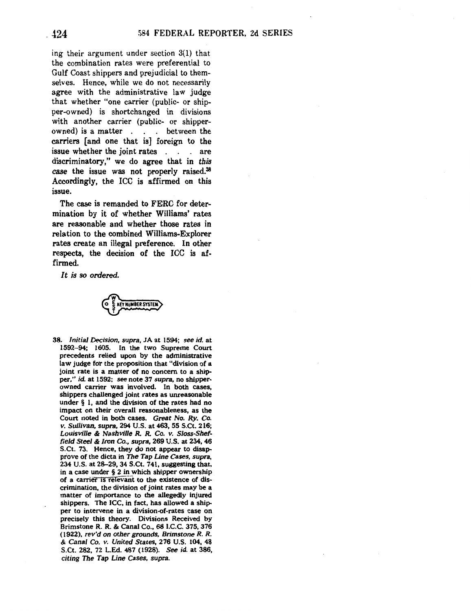ing their argument under section 3(1) that the combination rates were preferential to Gulf Coast shippers and prejudicial to themselves. Hence, while we do not necessarily agree with the administrative law judge that whether "one carrier (public- or shipper-owned) is shortchanged in divisions with another carrier (public- or shipperowned) is a matter  $\ldots$  between the carriers [and one that is] foreign to the issue whether the joint rates . . . are discriminatory," we do agree that in *this*  case the issue was not properly raised.<sup>38</sup> Accordingly, the ICC is affirmed on this issue.

The case is remanded to FERC for determination by it of whether Williams' rates are reasonable and whether those rates in relation to the combined Williams-Explorer rates create an illegal preference. In other respects, the decision of the ICC is affirmed.

*It is so* ordered.



38. Initial Decision, supra, JA at 1594; see id. at 1592-94; 1605. In the two Supreme Court precedents relied upon by the administrative law judge for the proposition that "division of a joint rate is a matter of no concern to a shipper," id. at 1592; see note 37 supra, no shipperowned carrier was involved. In both cases, shippers challenged joint rates as unreasonable under§ 1, and the division of the rates had no impact on their overall reasonableness, as the Court noted in both cases. Great No. *Ry.* Co. v. Sullivan, supra, 294 U.S. at 463,55 S.Ct. 216; Louisville & Nashville R. R. Co. v. Sloss-Sheffield Steel & Iron Co., supra, 269 U.S. at 234,46 S.Ct. 73. Hence, they do not appear to disapprove of the dicta in The Tap Line Cases, supra, 234 U.S. at 28-29, 34 S.Ct. 741, suggesting that, in a case under § 2 in which shipper ownership of a carrier 1s relevant to the existence of discrimination, the division of joint rates may be a matter of importance to the allegedly injured shippers. The ICC, in fact, has allowed a shipper to intervene in a division-of-rates case on precisely this theory. Divisions Received by Brimstone R. R. & Canal Co., 68 I.C.C. 375, 376 (1922), rev'd on other grounds, Brimstone R. R. & Canal Co. v. United States, 276 U.S. 104, 48 S.Ct. 282, 72 L.Ed. 487 (1928). See id. at 386, citing The Tap Line Cases, supra.